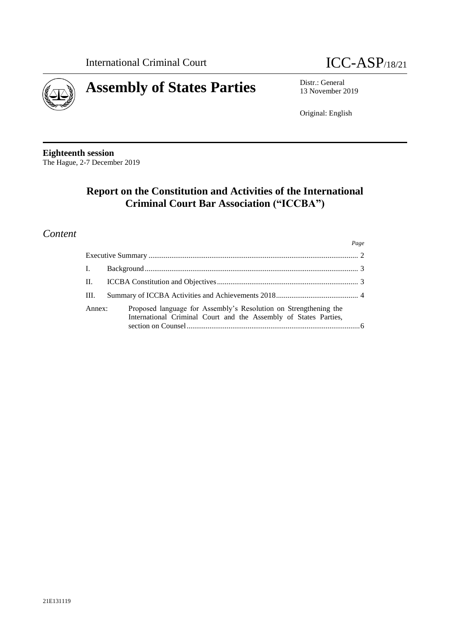



13 November 2019

Original: English

**Eighteenth session** The Hague, 2-7 December 2019

# **Report on the Constitution and Activities of the International Criminal Court Bar Association ("ICCBA")**

## *Content*

|                |                                                                                                                                      | Page |
|----------------|--------------------------------------------------------------------------------------------------------------------------------------|------|
|                |                                                                                                                                      |      |
| $\mathbf{I}$ . |                                                                                                                                      |      |
| П.             |                                                                                                                                      |      |
| HI.            |                                                                                                                                      |      |
| Annex:         | Proposed language for Assembly's Resolution on Strengthening the<br>International Criminal Court and the Assembly of States Parties, |      |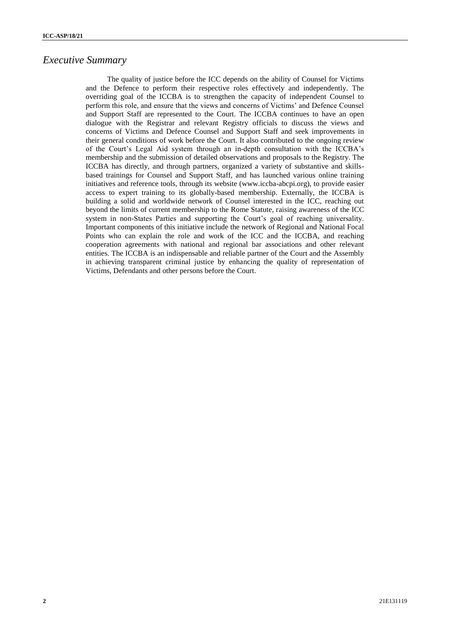### *Executive Summary*

The quality of justice before the ICC depends on the ability of Counsel for Victims and the Defence to perform their respective roles effectively and independently. The overriding goal of the ICCBA is to strengthen the capacity of independent Counsel to perform this role, and ensure that the views and concerns of Victims' and Defence Counsel and Support Staff are represented to the Court. The ICCBA continues to have an open dialogue with the Registrar and relevant Registry officials to discuss the views and concerns of Victims and Defence Counsel and Support Staff and seek improvements in their general conditions of work before the Court. It also contributed to the ongoing review of the Court's Legal Aid system through an in-depth consultation with the ICCBA's membership and the submission of detailed observations and proposals to the Registry. The ICCBA has directly, and through partners, organized a variety of substantive and skillsbased trainings for Counsel and Support Staff, and has launched various online training initiatives and reference tools, through its website (www.iccba-abcpi.org), to provide easier access to expert training to its globally-based membership. Externally, the ICCBA is building a solid and worldwide network of Counsel interested in the ICC, reaching out beyond the limits of current membership to the Rome Statute, raising awareness of the ICC system in non-States Parties and supporting the Court's goal of reaching universality. Important components of this initiative include the network of Regional and National Focal Points who can explain the role and work of the ICC and the ICCBA, and reaching cooperation agreements with national and regional bar associations and other relevant entities. The ICCBA is an indispensable and reliable partner of the Court and the Assembly in achieving transparent criminal justice by enhancing the quality of representation of Victims, Defendants and other persons before the Court.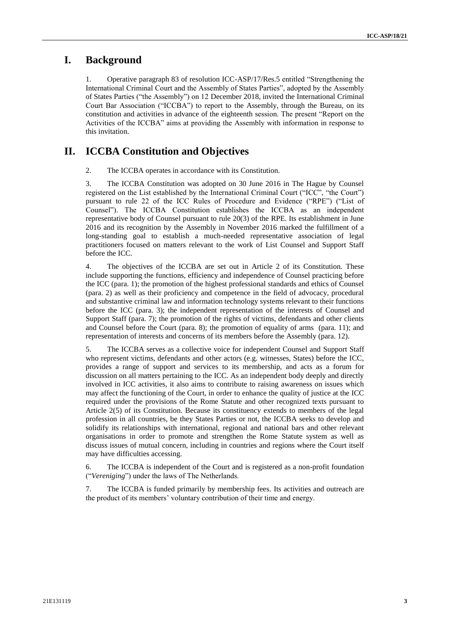### **I. Background**

1. Operative paragraph 83 of resolution ICC-ASP/17/Res.5 entitled "Strengthening the International Criminal Court and the Assembly of States Parties", adopted by the Assembly of States Parties ("the Assembly") on 12 December 2018, invited the International Criminal Court Bar Association ("ICCBA") to report to the Assembly, through the Bureau, on its constitution and activities in advance of the eighteenth session. The present "Report on the Activities of the ICCBA" aims at providing the Assembly with information in response to this invitation.

### **II. ICCBA Constitution and Objectives**

2. The ICCBA operates in accordance with its Constitution.

3. The ICCBA Constitution was adopted on 30 June 2016 in The Hague by Counsel registered on the List established by the International Criminal Court ("ICC", "the Court") pursuant to rule 22 of the ICC Rules of Procedure and Evidence ("RPE") ("List of Counsel"). The ICCBA Constitution establishes the ICCBA as an independent representative body of Counsel pursuant to rule 20(3) of the RPE. Its establishment in June 2016 and its recognition by the Assembly in November 2016 marked the fulfillment of a long-standing goal to establish a much-needed representative association of legal practitioners focused on matters relevant to the work of List Counsel and Support Staff before the ICC.

4. The objectives of the ICCBA are set out in Article 2 of its Constitution. These include supporting the functions, efficiency and independence of Counsel practicing before the ICC (para. 1); the promotion of the highest professional standards and ethics of Counsel (para. 2) as well as their proficiency and competence in the field of advocacy, procedural and substantive criminal law and information technology systems relevant to their functions before the ICC (para. 3); the independent representation of the interests of Counsel and Support Staff (para. 7); the promotion of the rights of victims, defendants and other clients and Counsel before the Court (para. 8); the promotion of equality of arms (para. 11); and representation of interests and concerns of its members before the Assembly (para. 12).

5. The ICCBA serves as a collective voice for independent Counsel and Support Staff who represent victims, defendants and other actors (e.g. witnesses, States) before the ICC, provides a range of support and services to its membership, and acts as a forum for discussion on all matters pertaining to the ICC. As an independent body deeply and directly involved in ICC activities, it also aims to contribute to raising awareness on issues which may affect the functioning of the Court, in order to enhance the quality of justice at the ICC required under the provisions of the Rome Statute and other recognized texts pursuant to Article 2(5) of its Constitution. Because its constituency extends to members of the legal profession in all countries, be they States Parties or not, the ICCBA seeks to develop and solidify its relationships with international, regional and national bars and other relevant organisations in order to promote and strengthen the Rome Statute system as well as discuss issues of mutual concern, including in countries and regions where the Court itself may have difficulties accessing.

6. The ICCBA is independent of the Court and is registered as a non-profit foundation ("*Vereniging*") under the laws of The Netherlands.

7. The ICCBA is funded primarily by membership fees. Its activities and outreach are the product of its members' voluntary contribution of their time and energy.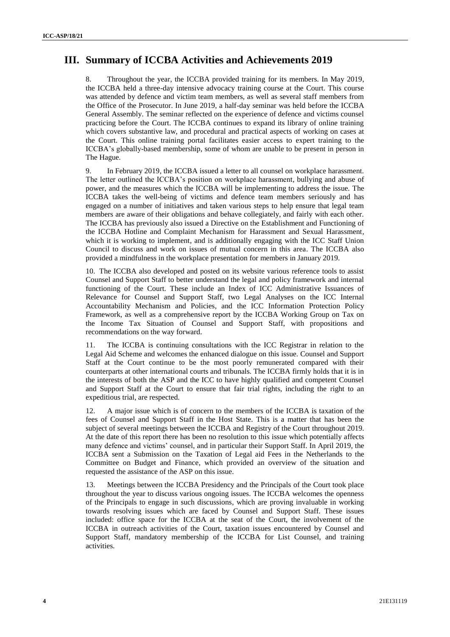## **III. Summary of ICCBA Activities and Achievements 2019**

8. Throughout the year, the ICCBA provided training for its members. In May 2019, the ICCBA held a three-day intensive advocacy training course at the Court. This course was attended by defence and victim team members, as well as several staff members from the Office of the Prosecutor. In June 2019, a half-day seminar was held before the ICCBA General Assembly. The seminar reflected on the experience of defence and victims counsel practicing before the Court. The ICCBA continues to expand its library of online training which covers substantive law, and procedural and practical aspects of working on cases at the Court. This online training portal facilitates easier access to expert training to the ICCBA's globally-based membership, some of whom are unable to be present in person in The Hague.

9. In February 2019, the ICCBA issued a letter to all counsel on workplace harassment. The letter outlined the ICCBA's position on workplace harassment, bullying and abuse of power, and the measures which the ICCBA will be implementing to address the issue. The ICCBA takes the well-being of victims and defence team members seriously and has engaged on a number of initiatives and taken various steps to help ensure that legal team members are aware of their obligations and behave collegiately, and fairly with each other. The ICCBA has previously also issued a Directive on the Establishment and Functioning of the ICCBA Hotline and Complaint Mechanism for Harassment and Sexual Harassment, which it is working to implement, and is additionally engaging with the ICC Staff Union Council to discuss and work on issues of mutual concern in this area. The ICCBA also provided a mindfulness in the workplace presentation for members in January 2019.

10. The ICCBA also developed and posted on its website various reference tools to assist Counsel and Support Staff to better understand the legal and policy framework and internal functioning of the Court. These include an Index of ICC Administrative Issuances of Relevance for Counsel and Support Staff, two Legal Analyses on the ICC Internal Accountability Mechanism and Policies, and the ICC Information Protection Policy Framework, as well as a comprehensive report by the ICCBA Working Group on Tax on the Income Tax Situation of Counsel and Support Staff, with propositions and recommendations on the way forward.

11. The ICCBA is continuing consultations with the ICC Registrar in relation to the Legal Aid Scheme and welcomes the enhanced dialogue on this issue. Counsel and Support Staff at the Court continue to be the most poorly remunerated compared with their counterparts at other international courts and tribunals. The ICCBA firmly holds that it is in the interests of both the ASP and the ICC to have highly qualified and competent Counsel and Support Staff at the Court to ensure that fair trial rights, including the right to an expeditious trial, are respected.

12. A major issue which is of concern to the members of the ICCBA is taxation of the fees of Counsel and Support Staff in the Host State. This is a matter that has been the subject of several meetings between the ICCBA and Registry of the Court throughout 2019. At the date of this report there has been no resolution to this issue which potentially affects many defence and victims' counsel, and in particular their Support Staff. In April 2019, the ICCBA sent a Submission on the Taxation of Legal aid Fees in the Netherlands to the Committee on Budget and Finance, which provided an overview of the situation and requested the assistance of the ASP on this issue.

13. Meetings between the ICCBA Presidency and the Principals of the Court took place throughout the year to discuss various ongoing issues. The ICCBA welcomes the openness of the Principals to engage in such discussions, which are proving invaluable in working towards resolving issues which are faced by Counsel and Support Staff. These issues included: office space for the ICCBA at the seat of the Court, the involvement of the ICCBA in outreach activities of the Court, taxation issues encountered by Counsel and Support Staff, mandatory membership of the ICCBA for List Counsel, and training activities.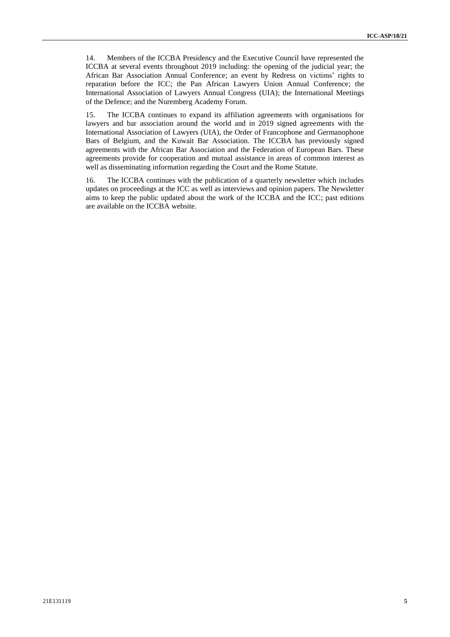14. Members of the ICCBA Presidency and the Executive Council have represented the ICCBA at several events throughout 2019 including: the opening of the judicial year; the African Bar Association Annual Conference; an event by Redress on victims' rights to reparation before the ICC; the Pan African Lawyers Union Annual Conference; the International Association of Lawyers Annual Congress (UIA); the International Meetings of the Defence; and the Nuremberg Academy Forum.

15. The ICCBA continues to expand its affiliation agreements with organisations for lawyers and bar association around the world and in 2019 signed agreements with the International Association of Lawyers (UIA), the Order of Francophone and Germanophone Bars of Belgium, and the Kuwait Bar Association. The ICCBA has previously signed agreements with the African Bar Association and the Federation of European Bars. These agreements provide for cooperation and mutual assistance in areas of common interest as well as disseminating information regarding the Court and the Rome Statute.

16. The ICCBA continues with the publication of a quarterly newsletter which includes updates on proceedings at the ICC as well as interviews and opinion papers. The Newsletter aims to keep the public updated about the work of the ICCBA and the ICC; past editions are available on the ICCBA website.